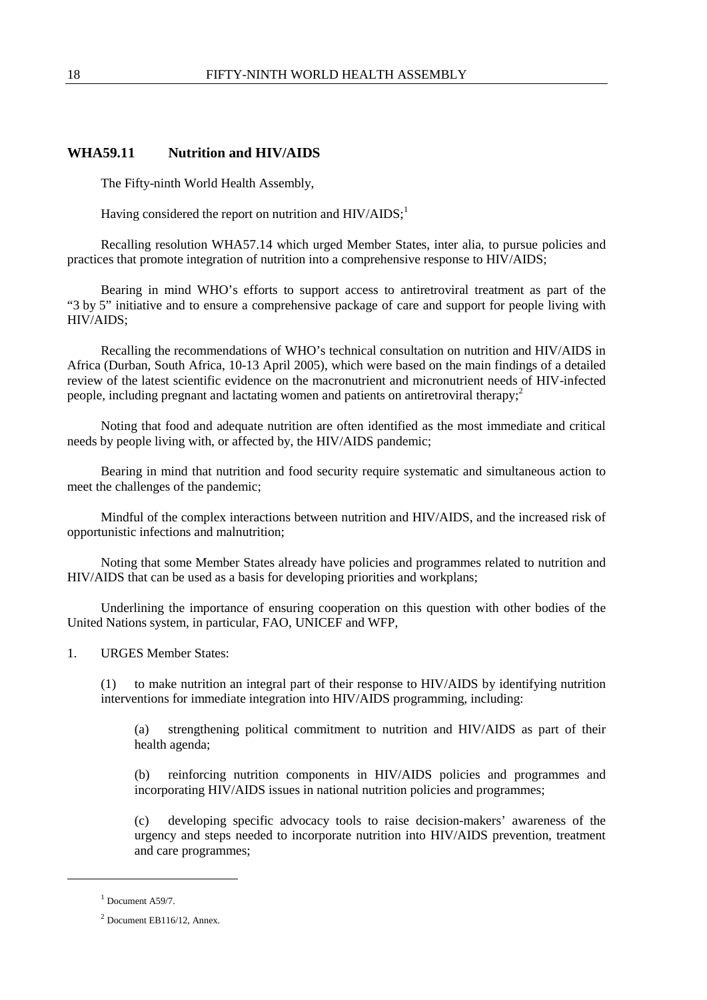## **WHA59.11 Nutrition and HIV/AIDS**

The Fifty-ninth World Health Assembly,

Having considered the report on nutrition and  $HIV/ALDS$ ;<sup>1</sup>

Recalling resolution WHA57.14 which urged Member States, inter alia, to pursue policies and practices that promote integration of nutrition into a comprehensive response to  $\overline{H}V/ \overline{A}D\overline{S}$ .

Bearing in mind WHO's efforts to support access to antiretroviral treatment as part of the "3 by 5" initiative and to ensure a comprehensive package of care and support for people living with HIV/AIDS;

Recalling the recommendations of WHO's technical consultation on nutrition and HIV/AIDS in Africa (Durban, South Africa, 10-13 April 2005), which were based on the main findings of a detailed review of the latest scientific evidence on the macronutrient and micronutrient needs of HIV-infected people, including pregnant and lactating women and patients on antiretroviral therapy;<sup>2</sup>

Noting that food and adequate nutrition are often identified as the most immediate and critical needs by people living with, or affected by, the HIV/AIDS pandemic;

Bearing in mind that nutrition and food security require systematic and simultaneous action to meet the challenges of the pandemic;

Mindful of the complex interactions between nutrition and HIV/AIDS, and the increased risk of opportunistic infections and malnutrition;

Noting that some Member States already have policies and programmes related to nutrition and HIV/AIDS that can be used as a basis for developing priorities and workplans;

Underlining the importance of ensuring cooperation on this question with other bodies of the United Nations system, in particular, FAO, UNICEF and WFP,

1. URGES Member States:

(1) to make nutrition an integral part of their response to HIV/AIDS by identifying nutrition interventions for immediate integration into HIV/AIDS programming, including:

(a) strengthening political commitment to nutrition and HIV/AIDS as part of their health agenda;

(b) reinforcing nutrition components in HIV/AIDS policies and programmes and incorporating HIV/AIDS issues in national nutrition policies and programmes;

(c) developing specific advocacy tools to raise decision-makers' awareness of the urgency and steps needed to incorporate nutrition into HIV/AIDS prevention, treatment and care programmes;

-

 $<sup>1</sup>$  Document A59/7.</sup>

 $2$  Document EB116/12, Annex.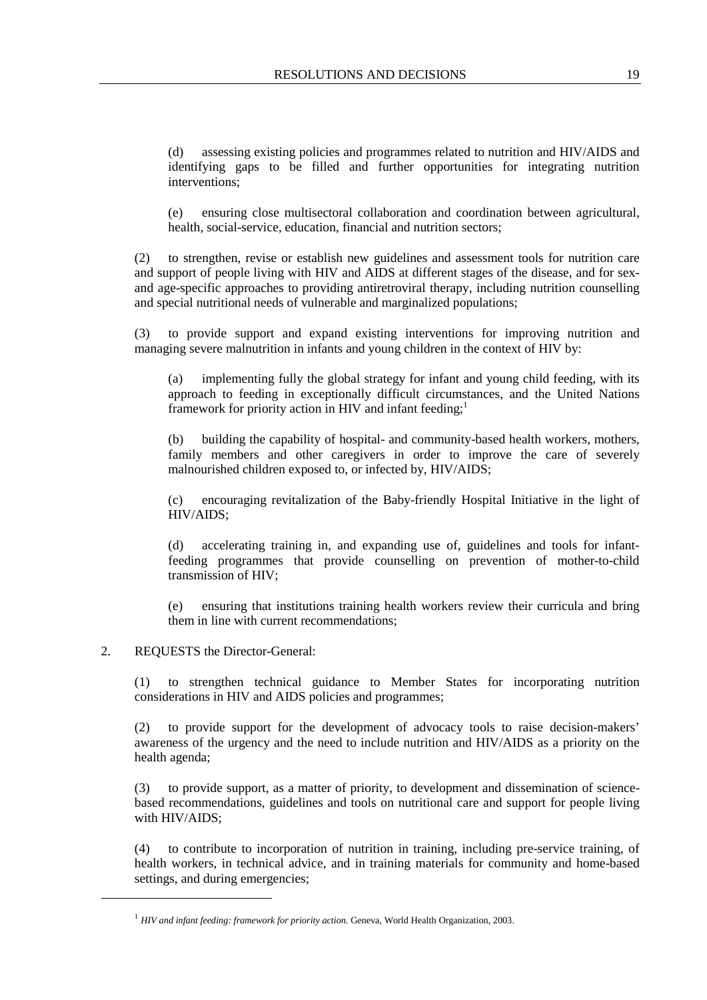(d) assessing existing policies and programmes related to nutrition and HIV/AIDS and identifying gaps to be filled and further opportunities for integrating nutrition interventions;

(e) ensuring close multisectoral collaboration and coordination between agricultural, health, social-service, education, financial and nutrition sectors;

(2) to strengthen, revise or establish new guidelines and assessment tools for nutrition care and support of people living with HIV and AIDS at different stages of the disease, and for sexand age-specific approaches to providing antiretroviral therapy, including nutrition counselling and special nutritional needs of vulnerable and marginalized populations;

(3) to provide support and expand existing interventions for improving nutrition and managing severe malnutrition in infants and young children in the context of HIV by:

(a) implementing fully the global strategy for infant and young child feeding, with its approach to feeding in exceptionally difficult circumstances, and the United Nations framework for priority action in HIV and infant feeding;<sup>1</sup>

(b) building the capability of hospital- and community-based health workers, mothers, family members and other caregivers in order to improve the care of severely malnourished children exposed to, or infected by, HIV/AIDS;

(c) encouraging revitalization of the Baby-friendly Hospital Initiative in the light of HIV/AIDS;

(d) accelerating training in, and expanding use of, guidelines and tools for infantfeeding programmes that provide counselling on prevention of mother-to-child transmission of HIV;

(e) ensuring that institutions training health workers review their curricula and bring them in line with current recommendations;

## 2. REQUESTS the Director-General:

 $\overline{a}$ 

(1) to strengthen technical guidance to Member States for incorporating nutrition considerations in HIV and AIDS policies and programmes;

(2) to provide support for the development of advocacy tools to raise decision-makers' awareness of the urgency and the need to include nutrition and HIV/AIDS as a priority on the health agenda;

(3) to provide support, as a matter of priority, to development and dissemination of sciencebased recommendations, guidelines and tools on nutritional care and support for people living with HIV/AIDS;

(4) to contribute to incorporation of nutrition in training, including pre-service training, of health workers, in technical advice, and in training materials for community and home-based settings, and during emergencies;

<sup>&</sup>lt;sup>1</sup> *HIV and infant feeding: framework for priority action.* Geneva, World Health Organization, 2003.